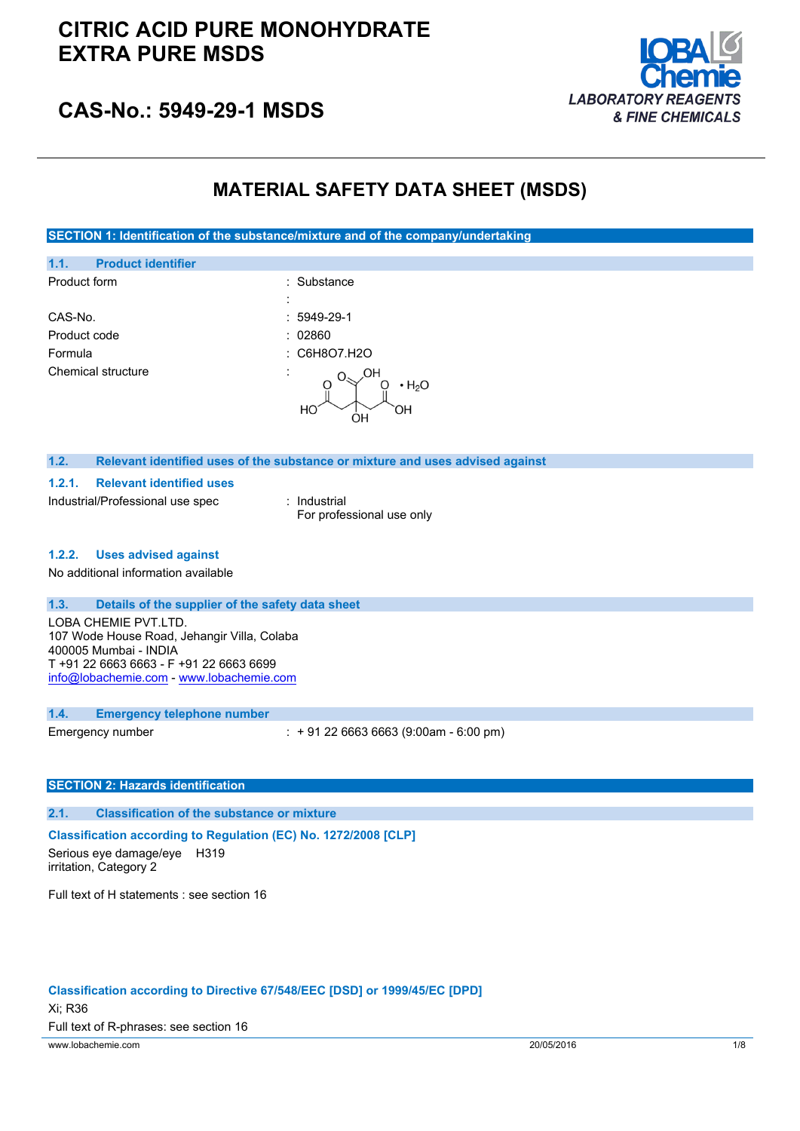## **CITRIC ACID PURE MONOHYDRATE EXTRA PURE MSDS**



## **CAS-No.: 5949-29-1 MSDS**

## **MATERIAL SAFETY DATA SHEET (MSDS)**

**SECTION 1: Identification of the substance/mixture and of the company/undertaking**

| 1.1.         | <b>Product identifier</b> |                                           |
|--------------|---------------------------|-------------------------------------------|
| Product form |                           | : Substance                               |
|              |                           | ٠                                         |
| CAS-No.      |                           | $: 5949-29-1$                             |
| Product code |                           | : 02860                                   |
| Formula      |                           | : C6H8O7.H2O                              |
|              | Chemical structure        | ٠<br>ΟH<br>$\cdot$ H <sub>2</sub> O<br>ЭH |

#### **1.2. Relevant identified uses of the substance or mixture and uses advised against**

#### **1.2.1. Relevant identified uses**

Industrial/Professional use spec : Industrial

For professional use only

### **1.2.2. Uses advised against**

No additional information available

#### **1.3. Details of the supplier of the safety data sheet**

LOBA CHEMIE PVT.LTD. 107 Wode House Road, Jehangir Villa, Colaba 400005 Mumbai - INDIA T +91 22 6663 6663 - F +91 22 6663 6699 [info@lobachemie.com](mailto:info@lobachemie.com) - <www.lobachemie.com>

#### **1.4. Emergency telephone number**

Emergency number : + 91 22 6663 6663 (9:00am - 6:00 pm)

### **SECTION 2: Hazards identification**

**2.1. Classification of the substance or mixture**

**Classification according to Regulation (EC) No. 1272/2008 [CLP]**

Serious eye damage/eye H319 irritation, Category 2

Full text of H statements : see section 16

#### **Classification according to Directive 67/548/EEC [DSD] or 1999/45/EC [DPD]**

www.lobachemie.com 2005/2016 2005/2016 1/8 Xi; R36 Full text of R-phrases: see section 16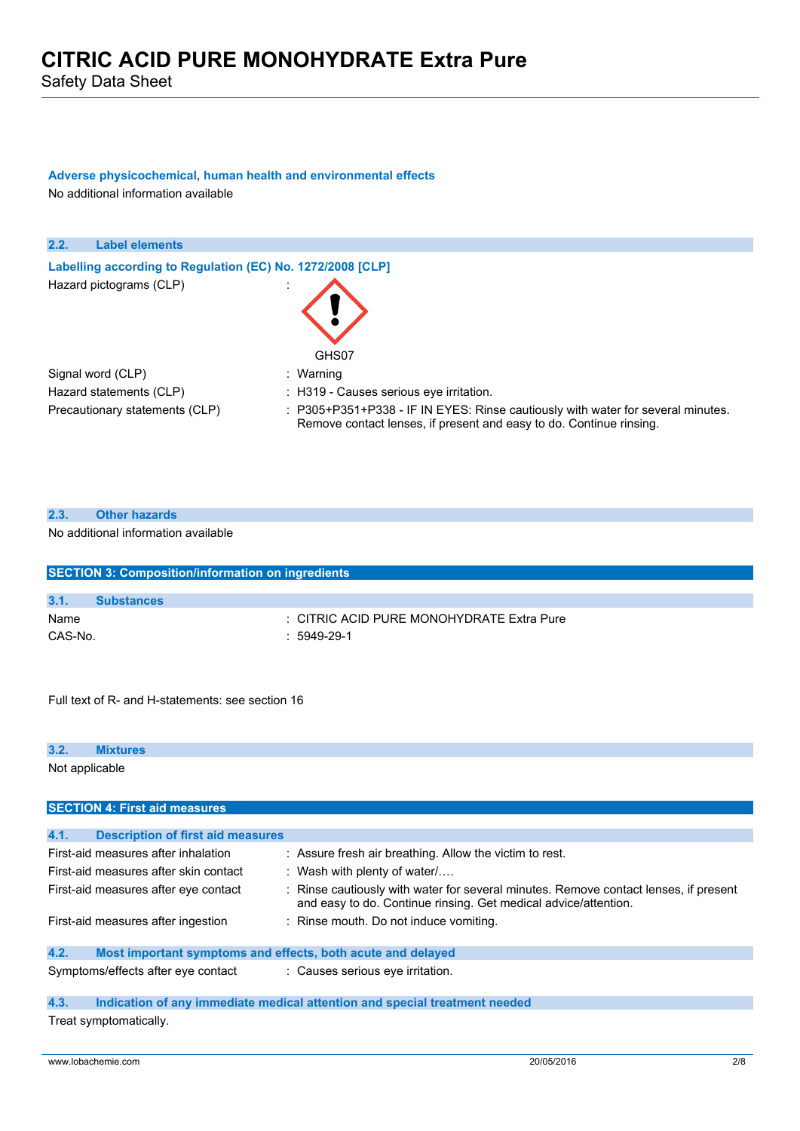Safety Data Sheet

## **Adverse physicochemical, human health and environmental effects**

No additional information available

| 2.2.<br><b>Label elements</b>                              |                                                                                                                                                        |
|------------------------------------------------------------|--------------------------------------------------------------------------------------------------------------------------------------------------------|
| Labelling according to Regulation (EC) No. 1272/2008 [CLP] |                                                                                                                                                        |
| Hazard pictograms (CLP)                                    | GHS07                                                                                                                                                  |
| Signal word (CLP)                                          | : Warning                                                                                                                                              |
| Hazard statements (CLP)                                    | : H319 - Causes serious eye irritation.                                                                                                                |
| Precautionary statements (CLP)                             | : P305+P351+P338 - IF IN EYES: Rinse cautiously with water for several minutes.<br>Remove contact lenses, if present and easy to do. Continue rinsing. |

| 2.3.    | <b>Other hazards</b>                                     |                                           |
|---------|----------------------------------------------------------|-------------------------------------------|
|         | No additional information available                      |                                           |
|         | <b>SECTION 3: Composition/information on ingredients</b> |                                           |
|         |                                                          |                                           |
| 3.1.    | <b>Substances</b>                                        |                                           |
| Name    |                                                          | : CITRIC ACID PURE MONOHYDRATE Extra Pure |
| CAS-No. |                                                          | : 5949-29-1                               |

Full text of R- and H-statements: see section 16

| 3.2. | <b>Mixtures</b>                          |                                                                                    |
|------|------------------------------------------|------------------------------------------------------------------------------------|
|      | Not applicable                           |                                                                                    |
|      | <b>SECTION 4: First aid measures</b>     |                                                                                    |
|      |                                          |                                                                                    |
| 4.1. | <b>Description of first aid measures</b> |                                                                                    |
|      | First-aid measures after inhalation      | : Assure fresh air breathing. Allow the victim to rest.                            |
|      | First-aid measures after skin contact    | : Wash with plenty of water $/$                                                    |
|      | First-aid measures after eye contact     | Rinse cautiously with water for several minutes. Remove contact lenses, if present |

and easy to do. Continue rinsing. Get medical advice/attention.

First-aid measures after ingestion : Rinse mouth. Do not induce vomiting.

## **4.2. Most important symptoms and effects, both acute and delayed**

## Symptoms/effects after eye contact : Causes serious eye irritation.

### **4.3. Indication of any immediate medical attention and special treatment needed**

Treat symptomatically.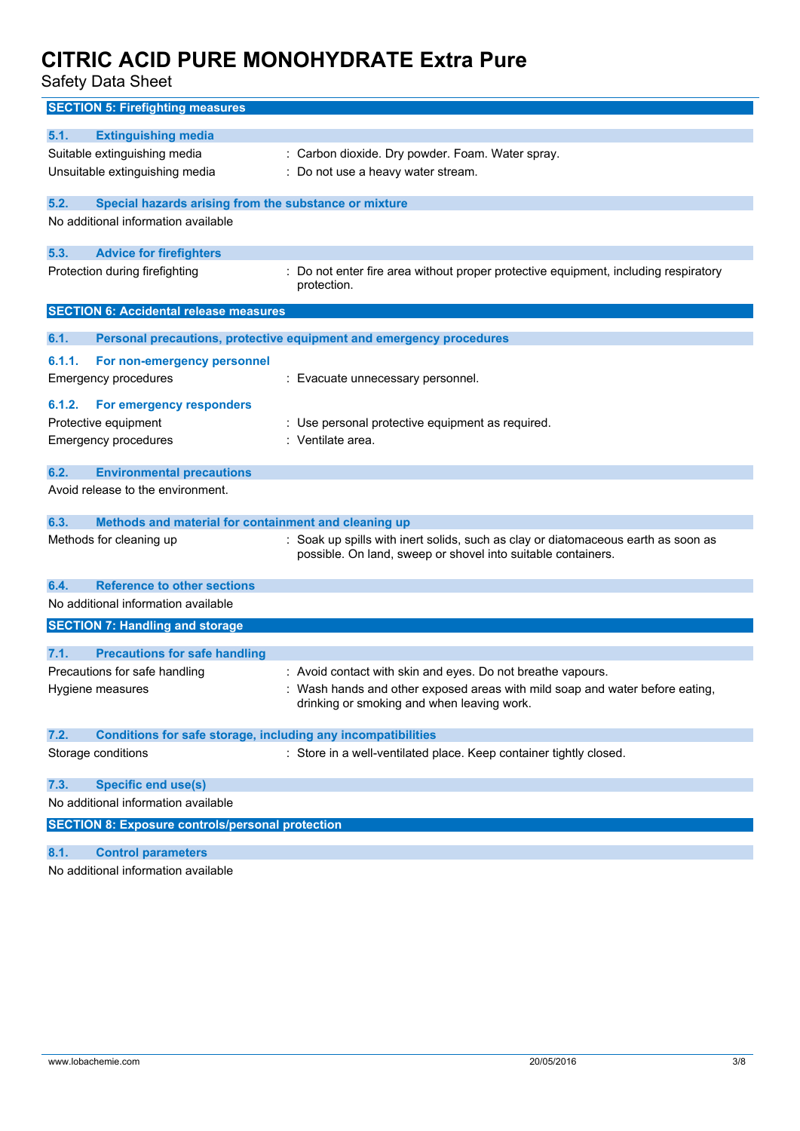Safety Data Sheet

| <b>SECTION 5: Firefighting measures</b>                                     |                                                                                     |
|-----------------------------------------------------------------------------|-------------------------------------------------------------------------------------|
| 5.1.<br><b>Extinguishing media</b>                                          |                                                                                     |
| Suitable extinguishing media                                                | : Carbon dioxide. Dry powder. Foam. Water spray.                                    |
| Unsuitable extinguishing media                                              | : Do not use a heavy water stream.                                                  |
|                                                                             |                                                                                     |
| 5.2.<br>Special hazards arising from the substance or mixture               |                                                                                     |
| No additional information available                                         |                                                                                     |
| <b>Advice for firefighters</b><br>5.3.                                      |                                                                                     |
| Protection during firefighting                                              | : Do not enter fire area without proper protective equipment, including respiratory |
|                                                                             | protection.                                                                         |
| <b>SECTION 6: Accidental release measures</b>                               |                                                                                     |
| 6.1.                                                                        | Personal precautions, protective equipment and emergency procedures                 |
| 6.1.1.<br>For non-emergency personnel                                       |                                                                                     |
| <b>Emergency procedures</b>                                                 | : Evacuate unnecessary personnel.                                                   |
|                                                                             |                                                                                     |
| 6.1.2.<br>For emergency responders                                          |                                                                                     |
| Protective equipment                                                        | : Use personal protective equipment as required.                                    |
| <b>Emergency procedures</b>                                                 | : Ventilate area.                                                                   |
| 6.2.<br><b>Environmental precautions</b>                                    |                                                                                     |
| Avoid release to the environment.                                           |                                                                                     |
| 6.3.<br>Methods and material for containment and cleaning up                |                                                                                     |
| Methods for cleaning up                                                     | : Soak up spills with inert solids, such as clay or diatomaceous earth as soon as   |
|                                                                             | possible. On land, sweep or shovel into suitable containers.                        |
|                                                                             |                                                                                     |
| <b>Reference to other sections</b><br>6.4.                                  |                                                                                     |
| No additional information available                                         |                                                                                     |
| <b>SECTION 7: Handling and storage</b>                                      |                                                                                     |
| 7.1.<br><b>Precautions for safe handling</b>                                |                                                                                     |
| Precautions for safe handling                                               | : Avoid contact with skin and eyes. Do not breathe vapours.                         |
| Hygiene measures                                                            | : Wash hands and other exposed areas with mild soap and water before eating,        |
|                                                                             | drinking or smoking and when leaving work.                                          |
| 7.2.<br><b>Conditions for safe storage, including any incompatibilities</b> |                                                                                     |
| Storage conditions                                                          | : Store in a well-ventilated place. Keep container tightly closed.                  |
|                                                                             |                                                                                     |
| 7.3.<br><b>Specific end use(s)</b>                                          |                                                                                     |
| No additional information available                                         |                                                                                     |
| <b>SECTION 8: Exposure controls/personal protection</b>                     |                                                                                     |
| 8.1.<br><b>Control parameters</b>                                           |                                                                                     |
| No additional information available                                         |                                                                                     |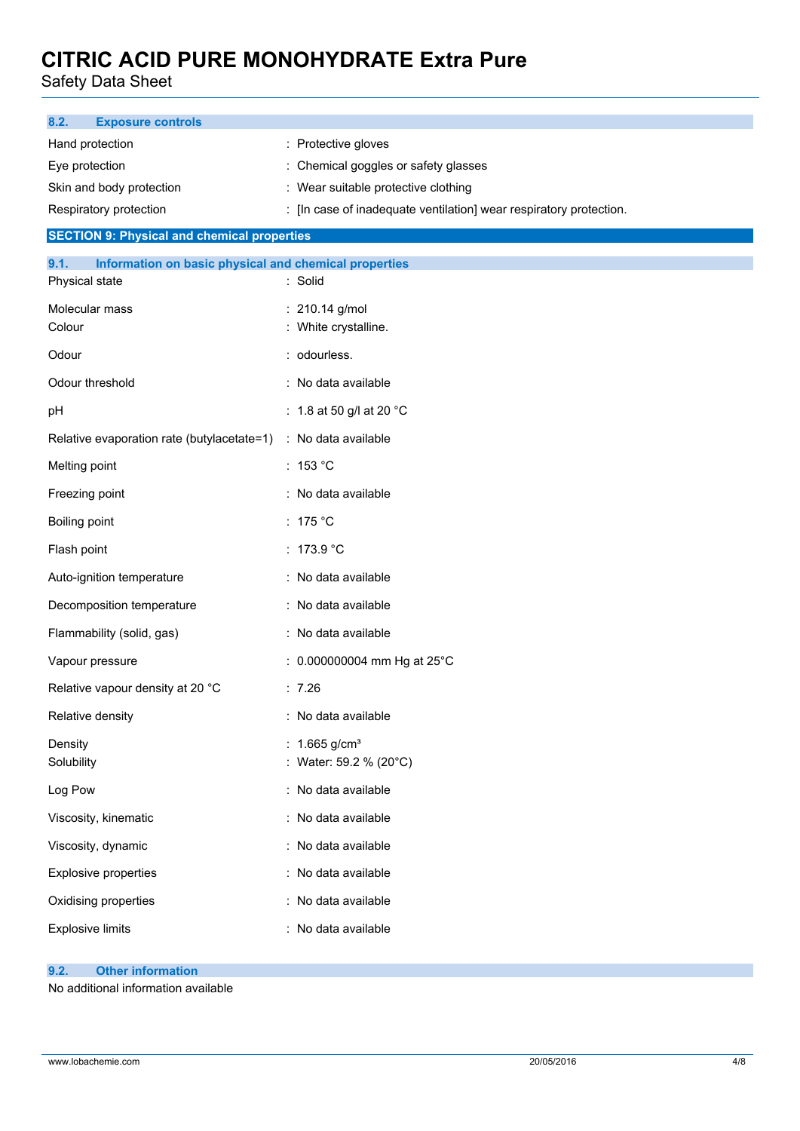Safety Data Sheet

| <b>Exposure controls</b><br>8.2.                              |                                                                    |
|---------------------------------------------------------------|--------------------------------------------------------------------|
| Hand protection                                               | : Protective gloves                                                |
| Eye protection                                                | : Chemical goggles or safety glasses                               |
| Skin and body protection                                      | : Wear suitable protective clothing                                |
| Respiratory protection                                        | : [In case of inadequate ventilation] wear respiratory protection. |
| <b>SECTION 9: Physical and chemical properties</b>            |                                                                    |
| 9.1.<br>Information on basic physical and chemical properties |                                                                    |
| Physical state                                                | : Solid                                                            |
| Molecular mass<br>Colour                                      | : 210.14 g/mol<br>: White crystalline.                             |
| Odour                                                         | : odourless.                                                       |
|                                                               |                                                                    |
| Odour threshold                                               | : No data available                                                |
| pH                                                            | : 1.8 at 50 g/l at 20 $^{\circ}$ C                                 |
| Relative evaporation rate (butylacetate=1)                    | : No data available                                                |
| Melting point                                                 | : 153 °C                                                           |
| Freezing point                                                | : No data available                                                |
| Boiling point                                                 | : $175^{\circ}$ C                                                  |
| Flash point                                                   | : $173.9 °C$                                                       |
| Auto-ignition temperature                                     | : No data available                                                |
| Decomposition temperature                                     | : No data available                                                |
| Flammability (solid, gas)                                     | : No data available                                                |
| Vapour pressure                                               | : 0.000000004 mm Hg at 25°C                                        |
| Relative vapour density at 20 °C                              | : 7.26                                                             |
| Relative density                                              | : No data available                                                |
| Density                                                       | : $1.665$ g/cm <sup>3</sup>                                        |
| Solubility                                                    | : Water: 59.2 % (20°C)                                             |
| Log Pow                                                       | : No data available                                                |
| Viscosity, kinematic                                          | : No data available                                                |
| Viscosity, dynamic                                            | : No data available                                                |
| <b>Explosive properties</b>                                   | : No data available                                                |
| Oxidising properties                                          | : No data available                                                |
| <b>Explosive limits</b>                                       | : No data available                                                |
|                                                               |                                                                    |

## **9.2. Other information**

No additional information available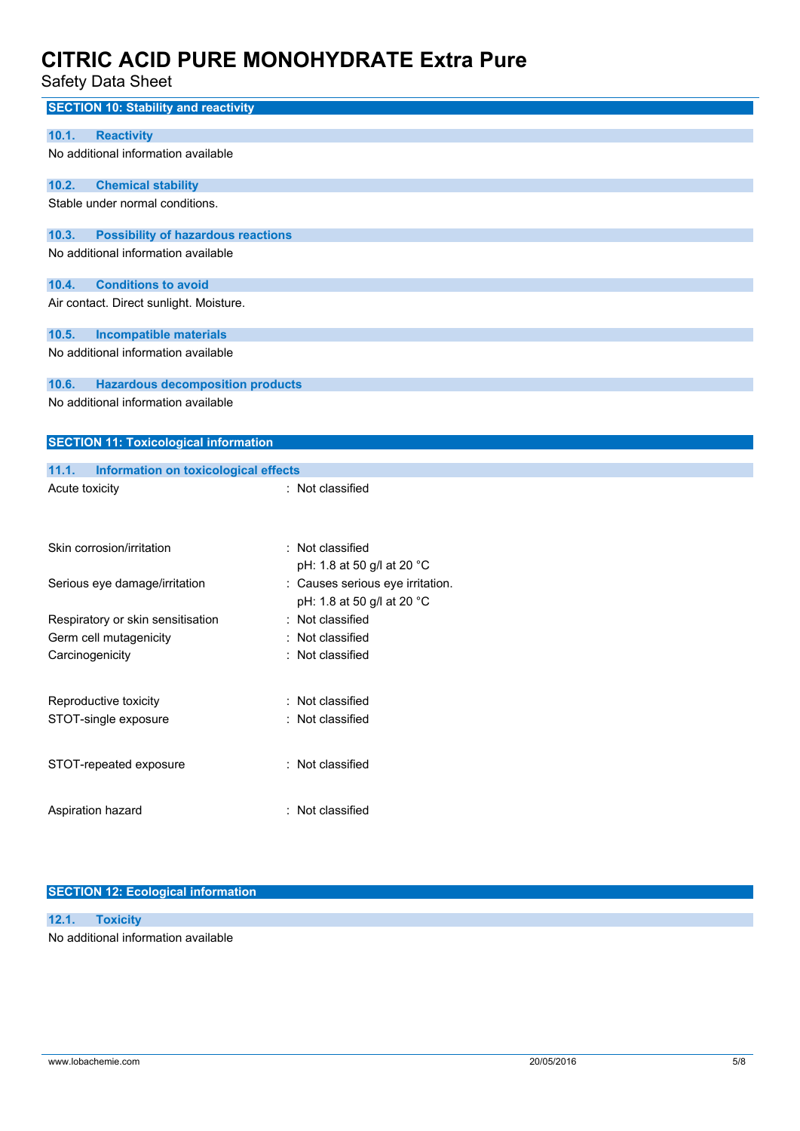Safety Data Sheet

| <b>SECTION 10: Stability and reactivity</b>          |                                                                |
|------------------------------------------------------|----------------------------------------------------------------|
| <b>Reactivity</b><br>10.1.                           |                                                                |
| No additional information available                  |                                                                |
| <b>Chemical stability</b><br>10.2.                   |                                                                |
| Stable under normal conditions.                      |                                                                |
| <b>Possibility of hazardous reactions</b><br>10.3.   |                                                                |
| No additional information available                  |                                                                |
| <b>Conditions to avoid</b><br>10.4.                  |                                                                |
| Air contact. Direct sunlight. Moisture.              |                                                                |
| 10.5.<br><b>Incompatible materials</b>               |                                                                |
| No additional information available                  |                                                                |
| 10.6.<br><b>Hazardous decomposition products</b>     |                                                                |
| No additional information available                  |                                                                |
| <b>SECTION 11: Toxicological information</b>         |                                                                |
| 11.1.<br><b>Information on toxicological effects</b> |                                                                |
| Acute toxicity                                       | : Not classified                                               |
|                                                      |                                                                |
| Skin corrosion/irritation                            | : Not classified<br>pH: 1.8 at 50 g/l at 20 °C                 |
| Serious eye damage/irritation                        | : Causes serious eye irritation.<br>pH: 1.8 at 50 g/l at 20 °C |
| Respiratory or skin sensitisation                    | : Not classified                                               |
| Germ cell mutagenicity                               | Not classified                                                 |
| Carcinogenicity                                      | Not classified                                                 |
|                                                      |                                                                |
| Reproductive toxicity                                | Not classified                                                 |
| STOT-single exposure                                 | Not classified                                                 |
|                                                      |                                                                |
| STOT-repeated exposure                               | : Not classified                                               |
|                                                      |                                                                |
| Aspiration hazard                                    | : Not classified                                               |
|                                                      |                                                                |

## **SECTION 12: Ecological information**

## **12.1. Toxicity** No additional information available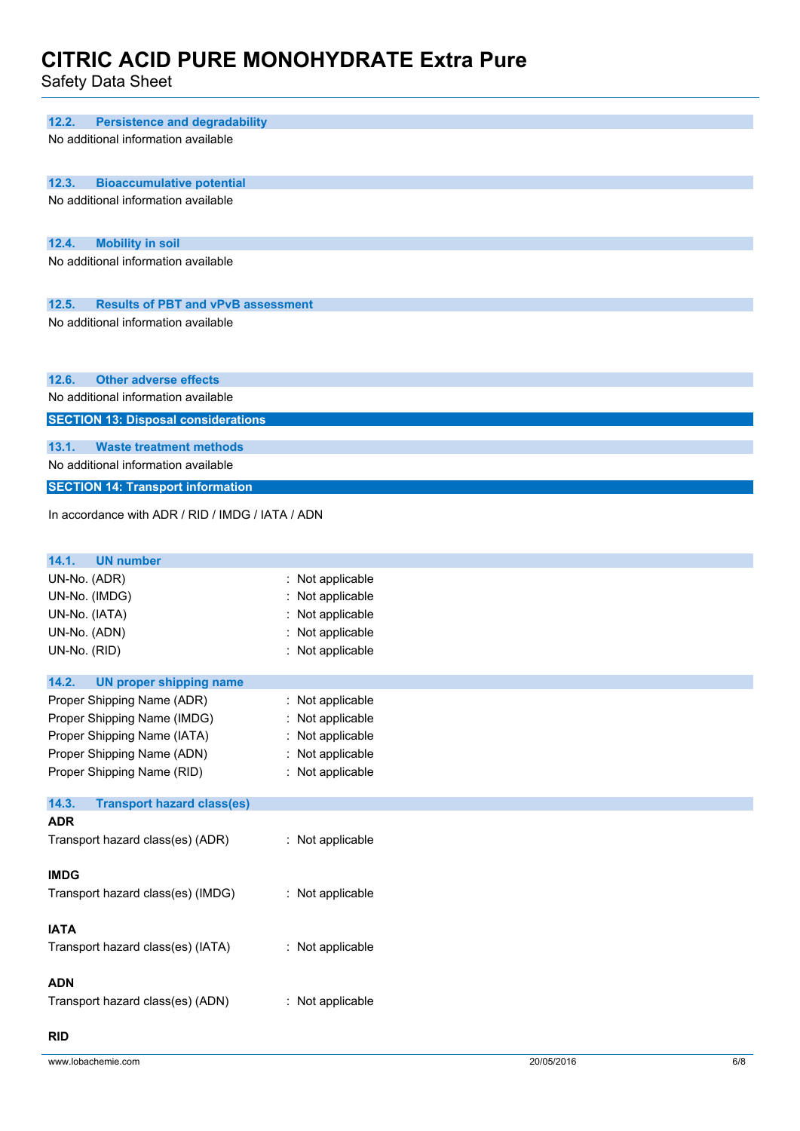Safety Data Sheet

| 12.2.                       | <b>Persistence and degradability</b>                                    |                  |  |
|-----------------------------|-------------------------------------------------------------------------|------------------|--|
|                             | No additional information available                                     |                  |  |
|                             |                                                                         |                  |  |
|                             |                                                                         |                  |  |
| 12.3.                       | <b>Bioaccumulative potential</b><br>No additional information available |                  |  |
|                             |                                                                         |                  |  |
|                             |                                                                         |                  |  |
| 12.4.                       | <b>Mobility in soil</b>                                                 |                  |  |
|                             | No additional information available                                     |                  |  |
|                             |                                                                         |                  |  |
| 12.5.                       | <b>Results of PBT and vPvB assessment</b>                               |                  |  |
|                             | No additional information available                                     |                  |  |
|                             |                                                                         |                  |  |
|                             |                                                                         |                  |  |
| 12.6.                       | <b>Other adverse effects</b>                                            |                  |  |
|                             | No additional information available                                     |                  |  |
|                             | <b>SECTION 13: Disposal considerations</b>                              |                  |  |
| 13.1.                       | <b>Waste treatment methods</b>                                          |                  |  |
|                             | No additional information available                                     |                  |  |
|                             |                                                                         |                  |  |
|                             | <b>SECTION 14: Transport information</b>                                |                  |  |
|                             | In accordance with ADR / RID / IMDG / IATA / ADN                        |                  |  |
|                             |                                                                         |                  |  |
| 14.1.<br><b>UN number</b>   |                                                                         |                  |  |
| UN-No. (ADR)                |                                                                         | : Not applicable |  |
| UN-No. (IMDG)               |                                                                         | Not applicable   |  |
| UN-No. (IATA)               |                                                                         | : Not applicable |  |
| UN-No. (ADN)                |                                                                         | : Not applicable |  |
| UN-No. (RID)                |                                                                         | : Not applicable |  |
|                             |                                                                         |                  |  |
| 14.2.                       | <b>UN proper shipping name</b>                                          |                  |  |
| Proper Shipping Name (ADR)  |                                                                         | : Not applicable |  |
|                             | Proper Shipping Name (IMDG)                                             | : Not applicable |  |
| Proper Shipping Name (IATA) |                                                                         | : Not applicable |  |
| Proper Shipping Name (ADN)  |                                                                         | : Not applicable |  |
| Proper Shipping Name (RID)  |                                                                         | : Not applicable |  |
| 14.3.                       | <b>Transport hazard class(es)</b>                                       |                  |  |
| <b>ADR</b>                  |                                                                         |                  |  |
|                             | Transport hazard class(es) (ADR)                                        | : Not applicable |  |
|                             |                                                                         |                  |  |
| <b>IMDG</b>                 |                                                                         |                  |  |
|                             | Transport hazard class(es) (IMDG)                                       | : Not applicable |  |
|                             |                                                                         |                  |  |
| <b>IATA</b>                 |                                                                         |                  |  |
|                             | Transport hazard class(es) (IATA)                                       | : Not applicable |  |
|                             |                                                                         |                  |  |
| <b>ADN</b>                  |                                                                         |                  |  |
|                             | Transport hazard class(es) (ADN)                                        | : Not applicable |  |
|                             |                                                                         |                  |  |

## **RID**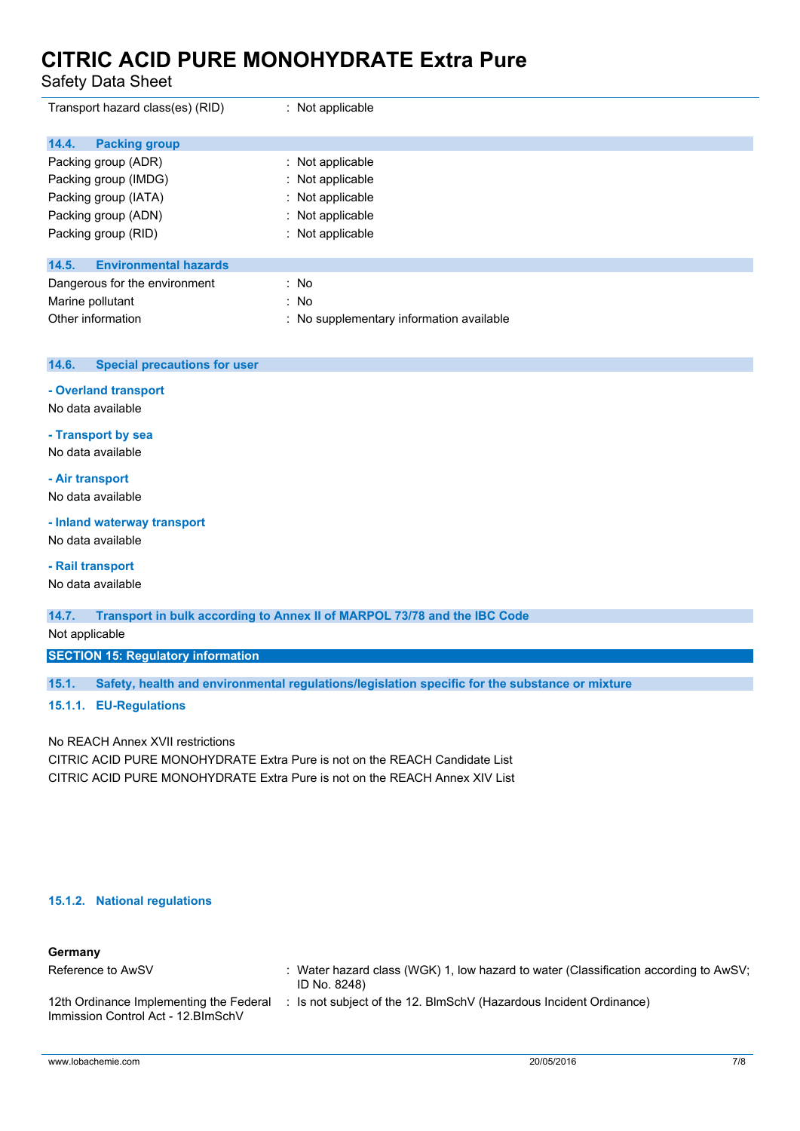Safety Data Sheet

| Transport hazard class(es) (RID)      | : Not applicable                         |
|---------------------------------------|------------------------------------------|
| 14.4.<br><b>Packing group</b>         |                                          |
| Packing group (ADR)                   | $\therefore$ Not applicable              |
| Packing group (IMDG)                  | : Not applicable                         |
| Packing group (IATA)                  | : Not applicable                         |
| Packing group (ADN)                   | : Not applicable                         |
| Packing group (RID)                   | $:$ Not applicable                       |
|                                       |                                          |
| <b>Environmental hazards</b><br>14.5. |                                          |
| Dangerous for the environment         | : No                                     |
| Marine pollutant                      | : No                                     |
| Other information                     | : No supplementary information available |

### **14.6. Special precautions for user**

### **- Overland transport**

No data available

#### **- Transport by sea**

No data available

### **- Air transport**

No data available

## **- Inland waterway transport**

No data available

## **- Rail transport**

No data available

**14.7. Transport in bulk according to Annex II of MARPOL 73/78 and the IBC Code**

### Not applicable

**SECTION 15: Regulatory information**

**15.1. Safety, health and environmental regulations/legislation specific for the substance or mixture**

#### **15.1.1. EU-Regulations**

No REACH Annex XVII restrictions

CITRIC ACID PURE MONOHYDRATE Extra Pure is not on the REACH Candidate List CITRIC ACID PURE MONOHYDRATE Extra Pure is not on the REACH Annex XIV List

#### **15.1.2. National regulations**

## **Germany**

| Reference to AwSV                                                              | : Water hazard class (WGK) 1, low hazard to water (Classification according to AwSV;<br>ID No. 8248) |
|--------------------------------------------------------------------------------|------------------------------------------------------------------------------------------------------|
| 12th Ordinance Implementing the Federal<br>Immission Control Act - 12. BlmSchV | : Is not subject of the 12. BlmSchV (Hazardous Incident Ordinance)                                   |